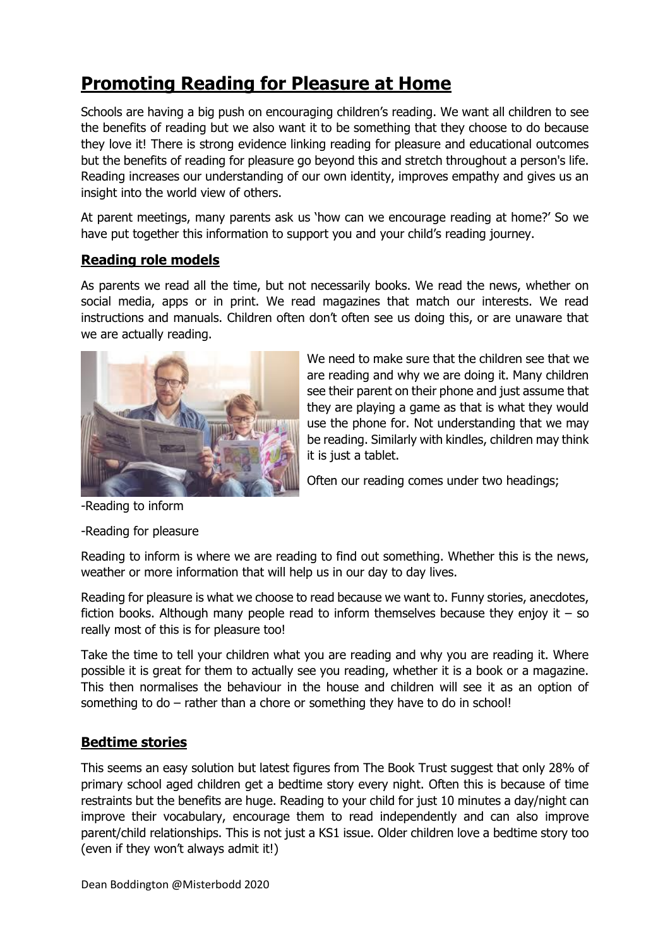# **Promoting Reading for Pleasure at Home**

Schools are having a big push on encouraging children's reading. We want all children to see the benefits of reading but we also want it to be something that they choose to do because they love it! There is strong evidence linking reading for pleasure and educational outcomes but the benefits of reading for pleasure go beyond this and stretch throughout a person's life. Reading increases our understanding of our own identity, improves empathy and gives us an insight into the world view of others.

At parent meetings, many parents ask us 'how can we encourage reading at home?' So we have put together this information to support you and your child's reading journey.

## **Reading role models**

As parents we read all the time, but not necessarily books. We read the news, whether on social media, apps or in print. We read magazines that match our interests. We read instructions and manuals. Children often don't often see us doing this, or are unaware that we are actually reading.



We need to make sure that the children see that we are reading and why we are doing it. Many children see their parent on their phone and just assume that they are playing a game as that is what they would use the phone for. Not understanding that we may be reading. Similarly with kindles, children may think it is just a tablet.

Often our reading comes under two headings;

-Reading to inform

-Reading for pleasure

Reading to inform is where we are reading to find out something. Whether this is the news, weather or more information that will help us in our day to day lives.

Reading for pleasure is what we choose to read because we want to. Funny stories, anecdotes, fiction books. Although many people read to inform themselves because they enjoy it  $-$  so really most of this is for pleasure too!

Take the time to tell your children what you are reading and why you are reading it. Where possible it is great for them to actually see you reading, whether it is a book or a magazine. This then normalises the behaviour in the house and children will see it as an option of something to do – rather than a chore or something they have to do in school!

## **Bedtime stories**

This seems an easy solution but latest figures from The Book Trust suggest that only 28% of primary school aged children get a bedtime story every night. Often this is because of time restraints but the benefits are huge. Reading to your child for just 10 minutes a day/night can improve their vocabulary, encourage them to read independently and can also improve parent/child relationships. This is not just a KS1 issue. Older children love a bedtime story too (even if they won't always admit it!)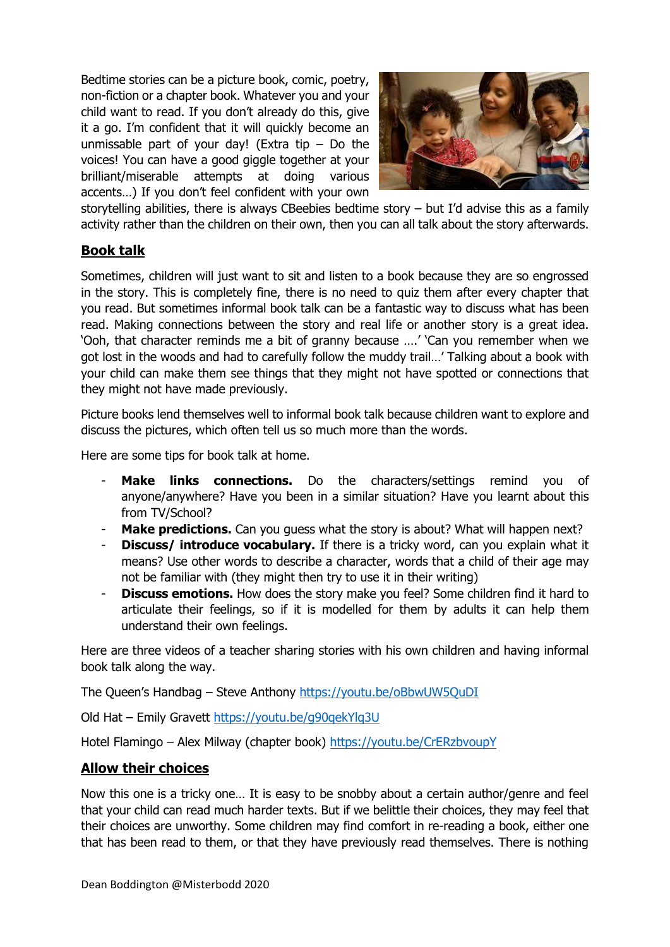Bedtime stories can be a picture book, comic, poetry, non-fiction or a chapter book. Whatever you and your child want to read. If you don't already do this, give it a go. I'm confident that it will quickly become an unmissable part of your day! (Extra tip  $-$  Do the voices! You can have a good giggle together at your brilliant/miserable attempts at doing various accents…) If you don't feel confident with your own



storytelling abilities, there is always CBeebies bedtime story – but I'd advise this as a family activity rather than the children on their own, then you can all talk about the story afterwards.

## **Book talk**

Sometimes, children will just want to sit and listen to a book because they are so engrossed in the story. This is completely fine, there is no need to quiz them after every chapter that you read. But sometimes informal book talk can be a fantastic way to discuss what has been read. Making connections between the story and real life or another story is a great idea. 'Ooh, that character reminds me a bit of granny because ….' 'Can you remember when we got lost in the woods and had to carefully follow the muddy trail…' Talking about a book with your child can make them see things that they might not have spotted or connections that they might not have made previously.

Picture books lend themselves well to informal book talk because children want to explore and discuss the pictures, which often tell us so much more than the words.

Here are some tips for book talk at home.

- Make links connections. Do the characters/settings remind you of anyone/anywhere? Have you been in a similar situation? Have you learnt about this from TV/School?
- **Make predictions.** Can you guess what the story is about? What will happen next?
- **Discuss/ introduce vocabulary.** If there is a tricky word, can you explain what it means? Use other words to describe a character, words that a child of their age may not be familiar with (they might then try to use it in their writing)
- **Discuss emotions.** How does the story make you feel? Some children find it hard to articulate their feelings, so if it is modelled for them by adults it can help them understand their own feelings.

Here are three videos of a teacher sharing stories with his own children and having informal book talk along the way.

The Queen's Handbag – Steve Anthony<https://youtu.be/oBbwUW5QuDI>

Old Hat – Emily Gravett<https://youtu.be/g90qekYlq3U>

Hotel Flamingo - Alex Milway (chapter book)<https://youtu.be/CrERzbvoupY>

#### **Allow their choices**

Now this one is a tricky one… It is easy to be snobby about a certain author/genre and feel that your child can read much harder texts. But if we belittle their choices, they may feel that their choices are unworthy. Some children may find comfort in re-reading a book, either one that has been read to them, or that they have previously read themselves. There is nothing